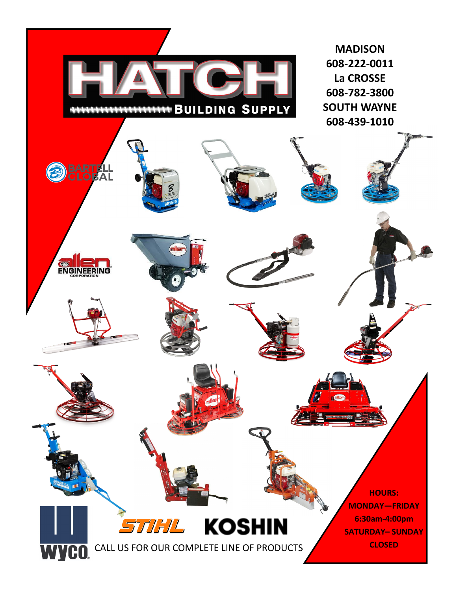